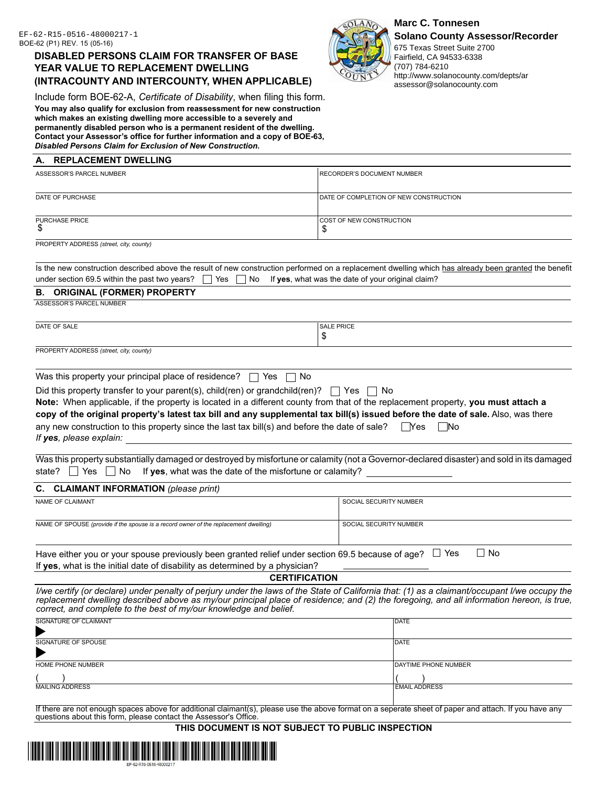# **DISABLED PERSONS CLAIM FOR TRANSFER OF BASE YEAR VALUE TO REPLACEMENT DWELLING (INTRACOUNTY AND INTERCOUNTY, WHEN APPLICABLE)**

Include form BOE-62-A, *Certificate of Disability*, when filing this form. **You may also qualify for exclusion from reassessment for new construction which makes an existing dwelling more accessible to a severely and permanently disabled person who is a permanent resident of the dwelling. Contact your Assessor's office for further information and a copy of BOE-63,** 

## *Disabled Persons Claim for Exclusion of New Construction.*

## **A. REPLACEMENT DWELLING**

| ASSESSOR'S PARCEL NUMBER    | <b>RECORDER'S DOCUMENT NUMBER</b>      |
|-----------------------------|----------------------------------------|
| DATE OF PURCHASE            | DATE OF COMPLETION OF NEW CONSTRUCTION |
| <b>PURCHASE PRICE</b><br>۰D | <b>COST OF NEW CONSTRUCTION</b><br>◡   |

PROPERTY ADDRESS *(street, city, county)*

|                                                                                                                      | Is the new construction described above the result of new construction performed on a replacement dwelling which has already been granted the benefit |
|----------------------------------------------------------------------------------------------------------------------|-------------------------------------------------------------------------------------------------------------------------------------------------------|
| under section 69.5 within the past two years? $\Box$ Yes $\Box$ No If yes, what was the date of your original claim? |                                                                                                                                                       |

\$

#### **B. ORIGINAL (FORMER) PROPERTY**

ASSESSOR'S PARCEL NUMBER

DATE OF SALE PRICE AND INTERNATIONAL SALE PRICE AND INTERNATIONAL SALE PRICE.

PROPERTY ADDRESS *(street, city, county)*

| Was this property your principal place of residence? $\Box$ Yes $\Box$ No |  |  |  |
|---------------------------------------------------------------------------|--|--|--|
|---------------------------------------------------------------------------|--|--|--|

Did this property transfer to your parent(s), child(ren) or grandchild(ren)?  $\Box$  Yes  $\Box$  No

| Note: When applicable, if the property is located in a different county from that of the replacement property, you must attach a |          |  |
|----------------------------------------------------------------------------------------------------------------------------------|----------|--|
| copy of the original property's latest tax bill and any supplemental tax bill(s) issued before the date of sale. Also, was there |          |  |
| any new construction to this property since the last tax bill(s) and before the date of sale?                                    | Yes   No |  |
| If yes, please explain:                                                                                                          |          |  |

Was this property substantially damaged or destroyed by misfortune or calamity (not a Governor-declared disaster) and sold in its damaged state?  $\Box$  Yes  $\Box$  No If **yes**, what was the date of the misfortune or calamity?

## **C. CLAIMANT INFORMATION** *(please print)*

| NAME OF CLAIMANT                                                                     | SOCIAL SECURITY NUMBER |
|--------------------------------------------------------------------------------------|------------------------|
| NAME OF SPOUSE (provide if the spouse is a record owner of the replacement dwelling) | SOCIAL SECURITY NUMBER |
|                                                                                      |                        |

Have either you or your spouse previously been granted relief under section 69.5 because of age?  $\Box$  Yes  $\Box$  No If **yes**, what is the initial date of disability as determined by a physician?

# **CERTIFICATION**

*I/we certify (or declare) under penalty of perjury under the laws of the State of California that: (1) as a claimant/occupant I/we occupy the* replacement dwelling described above as my/our principal place of residence; and (2) the foregoing, and all information hereon, is true, *correct, and complete to the best of my/our knowledge and belief.*

| SIGNATURE OF CLAIMANT  | <b>IDATE</b>         |
|------------------------|----------------------|
| SIGNATURE OF SPOUSE    | DATE                 |
| HOME PHONE NUMBER      | DAYTIME PHONE NUMBER |
|                        |                      |
| <b>MAILING ADDRESS</b> | <b>EMAIL ADDRESS</b> |

If there are not enough spaces above for additional claimant(s), please use the above format on a seperate sheet of paper and attach. If you have any questions about this form, please contact the Assessor's Office.

**THIS DOCUMENT IS NOT SUBJECT TO PUBLIC INSPECTION**





EF-62-R15-0516-48000217-1 **Marc C. Tonnesen Marc C. Tonnesen Marc C. Tonnesen** 

675 Texas Street Suite 2700 Fairfield, CA 94533-6338 (707) 784-6210 http://www.solanocounty.com/depts/ar assessor@solanocounty.com